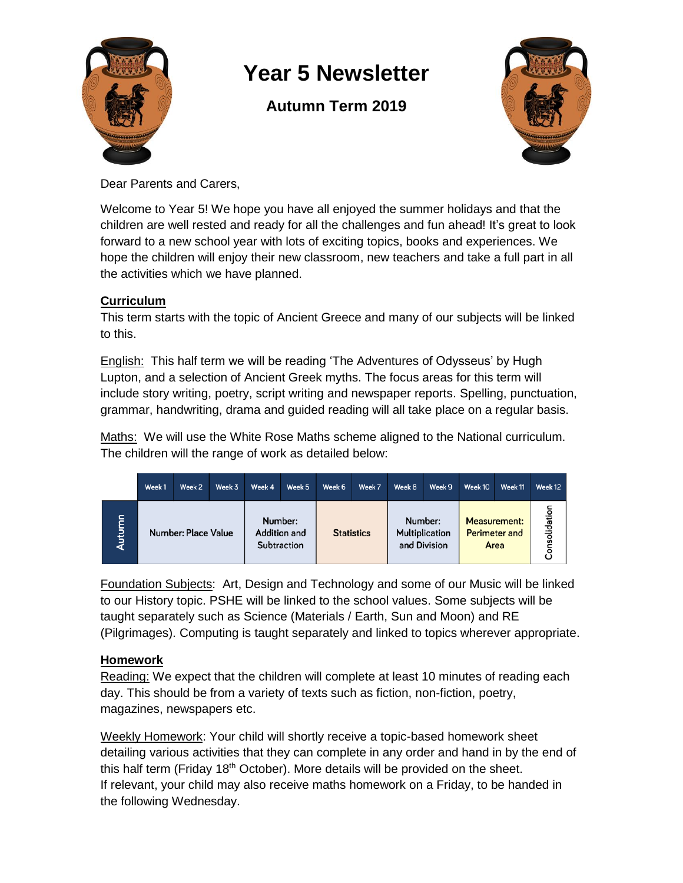

# **Year 5 Newsletter**

# **Autumn Term 2019**



Dear Parents and Carers,

Welcome to Year 5! We hope you have all enjoyed the summer holidays and that the children are well rested and ready for all the challenges and fun ahead! It's great to look forward to a new school year with lots of exciting topics, books and experiences. We hope the children will enjoy their new classroom, new teachers and take a full part in all the activities which we have planned.

### **Curriculum**

This term starts with the topic of Ancient Greece and many of our subjects will be linked to this.

English: This half term we will be reading 'The Adventures of Odysseus' by Hugh Lupton, and a selection of Ancient Greek myths. The focus areas for this term will include story writing, poetry, script writing and newspaper reports. Spelling, punctuation, grammar, handwriting, drama and guided reading will all take place on a regular basis.

Maths: We will use the White Rose Maths scheme aligned to the National curriculum. The children will the range of work as detailed below:

|        | Week 1 | Week 2              | Week 3 | Week 4 | Week 5                                 | Week 6            | Week 7 | Week 8  | Week 9                         | Week 10 | Week 11                                             | Week 12       |
|--------|--------|---------------------|--------|--------|----------------------------------------|-------------------|--------|---------|--------------------------------|---------|-----------------------------------------------------|---------------|
| Autumn |        | Number: Place Value |        |        | Number:<br>Addition and<br>Subtraction | <b>Statistics</b> |        | Number: | Multiplication<br>and Division |         | <b>Measurement:</b><br><b>Perimeter and</b><br>Area | Consolidation |

Foundation Subjects: Art, Design and Technology and some of our Music will be linked to our History topic. PSHE will be linked to the school values. Some subjects will be taught separately such as Science (Materials / Earth, Sun and Moon) and RE (Pilgrimages). Computing is taught separately and linked to topics wherever appropriate.

## **Homework**

Reading: We expect that the children will complete at least 10 minutes of reading each day. This should be from a variety of texts such as fiction, non-fiction, poetry, magazines, newspapers etc.

Weekly Homework: Your child will shortly receive a topic-based homework sheet detailing various activities that they can complete in any order and hand in by the end of this half term (Friday 18<sup>th</sup> October). More details will be provided on the sheet. If relevant, your child may also receive maths homework on a Friday, to be handed in the following Wednesday.